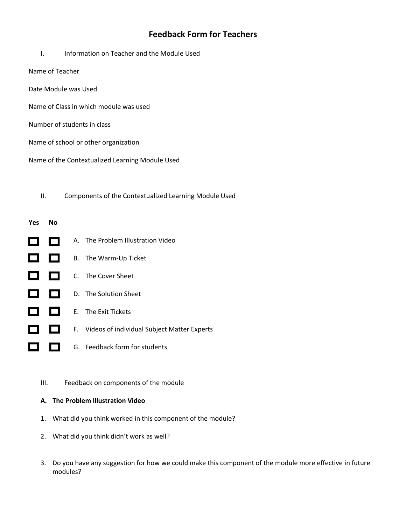## **Feedback Form for Teachers**

- I. Information on Teacher and the Module Used
- Name of Teacher
- Date Module was Used
- Name of Class in which module was used
- Number of students in class
- Name of school or other organization
- Name of the Contextualized Learning Module Used

II. Components of the Contextualized Learning Module Used

# **Yes No**

- A. The Problem Illustration Video  $\Box$  $\Box$  $\Box$   $\Box$ B. The Warm-Up Ticket 8 B C. The Cover Sheet 8 8 D. The Solution Sheet E. The Exit Tickets 8 E I F. Videos of individual Subject Matter Experts 8 E G. Feedback form for students
	- III. Feedback on components of the module

### **A. The Problem Illustration Video**

- 1. What did you think worked in this component of the module?
- 2. What did you think didn't work as well?
- 3. Do you have any suggestion for how we could make this component of the module more effective in future modules?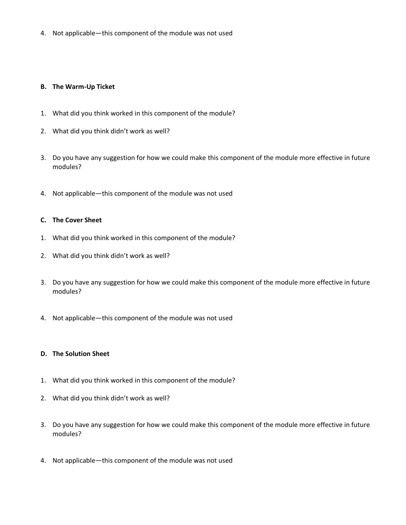4. Not applicable—this component of the module was not used

#### **B. The Warm-Up Ticket**

- 1. What did you think worked in this component of the module?
- 2. What did you think didn't work as well?
- 3. Do you have any suggestion for how we could make this component of the module more effective in future modules?
- 4. Not applicable—this component of the module was not used

#### **C. The Cover Sheet**

- 1. What did you think worked in this component of the module?
- 2. What did you think didn't work as well?
- 3. Do you have any suggestion for how we could make this component of the module more effective in future modules?
- 4. Not applicable—this component of the module was not used

#### **D. The Solution Sheet**

- 1. What did you think worked in this component of the module?
- 2. What did you think didn't work as well?
- 3. Do you have any suggestion for how we could make this component of the module more effective in future modules?
- 4. Not applicable—this component of the module was not used